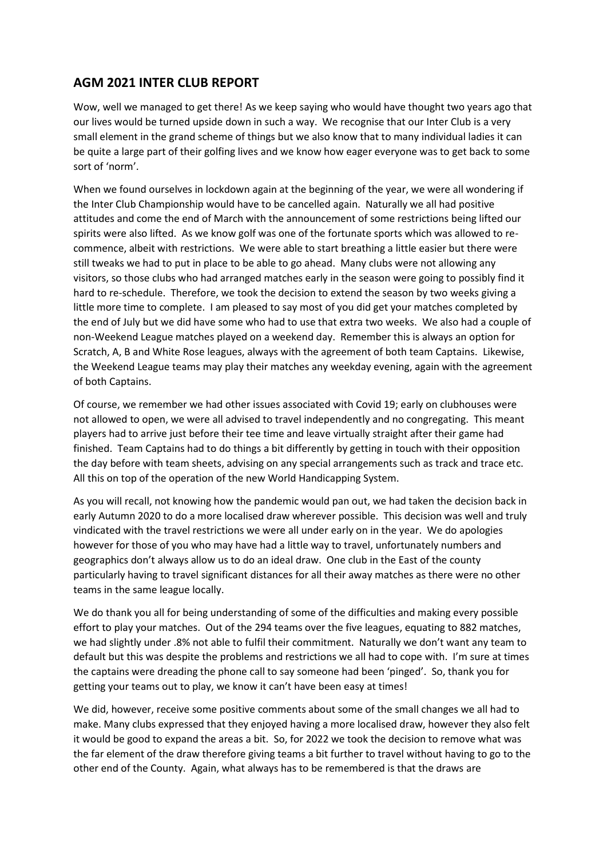## **AGM 2021 INTER CLUB REPORT**

Wow, well we managed to get there! As we keep saying who would have thought two years ago that our lives would be turned upside down in such a way. We recognise that our Inter Club is a very small element in the grand scheme of things but we also know that to many individual ladies it can be quite a large part of their golfing lives and we know how eager everyone was to get back to some sort of 'norm'.

When we found ourselves in lockdown again at the beginning of the year, we were all wondering if the Inter Club Championship would have to be cancelled again. Naturally we all had positive attitudes and come the end of March with the announcement of some restrictions being lifted our spirits were also lifted. As we know golf was one of the fortunate sports which was allowed to recommence, albeit with restrictions. We were able to start breathing a little easier but there were still tweaks we had to put in place to be able to go ahead. Many clubs were not allowing any visitors, so those clubs who had arranged matches early in the season were going to possibly find it hard to re-schedule. Therefore, we took the decision to extend the season by two weeks giving a little more time to complete. I am pleased to say most of you did get your matches completed by the end of July but we did have some who had to use that extra two weeks. We also had a couple of non-Weekend League matches played on a weekend day. Remember this is always an option for Scratch, A, B and White Rose leagues, always with the agreement of both team Captains. Likewise, the Weekend League teams may play their matches any weekday evening, again with the agreement of both Captains.

Of course, we remember we had other issues associated with Covid 19; early on clubhouses were not allowed to open, we were all advised to travel independently and no congregating. This meant players had to arrive just before their tee time and leave virtually straight after their game had finished. Team Captains had to do things a bit differently by getting in touch with their opposition the day before with team sheets, advising on any special arrangements such as track and trace etc. All this on top of the operation of the new World Handicapping System.

As you will recall, not knowing how the pandemic would pan out, we had taken the decision back in early Autumn 2020 to do a more localised draw wherever possible. This decision was well and truly vindicated with the travel restrictions we were all under early on in the year. We do apologies however for those of you who may have had a little way to travel, unfortunately numbers and geographics don't always allow us to do an ideal draw. One club in the East of the county particularly having to travel significant distances for all their away matches as there were no other teams in the same league locally.

We do thank you all for being understanding of some of the difficulties and making every possible effort to play your matches. Out of the 294 teams over the five leagues, equating to 882 matches, we had slightly under .8% not able to fulfil their commitment. Naturally we don't want any team to default but this was despite the problems and restrictions we all had to cope with. I'm sure at times the captains were dreading the phone call to say someone had been 'pinged'. So, thank you for getting your teams out to play, we know it can't have been easy at times!

We did, however, receive some positive comments about some of the small changes we all had to make. Many clubs expressed that they enjoyed having a more localised draw, however they also felt it would be good to expand the areas a bit. So, for 2022 we took the decision to remove what was the far element of the draw therefore giving teams a bit further to travel without having to go to the other end of the County. Again, what always has to be remembered is that the draws are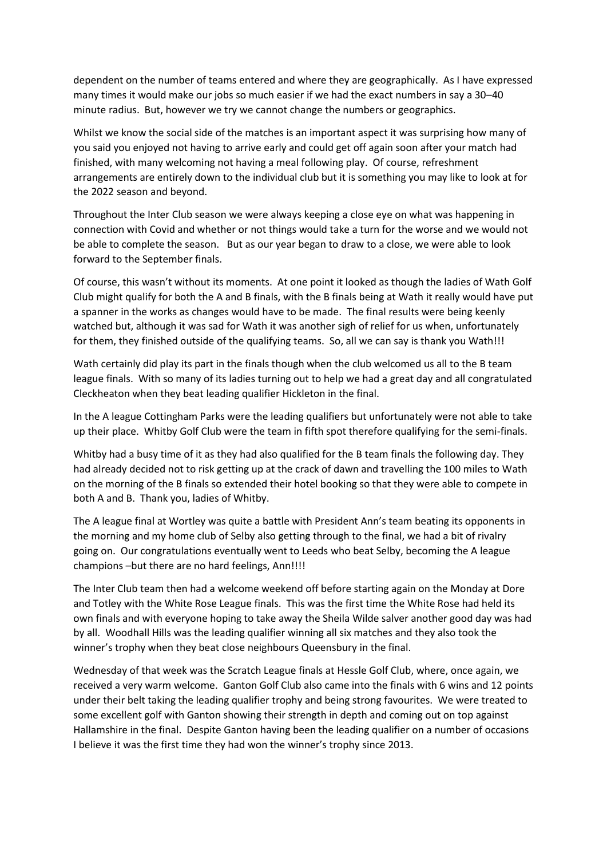dependent on the number of teams entered and where they are geographically. As I have expressed many times it would make our jobs so much easier if we had the exact numbers in say a 30–40 minute radius. But, however we try we cannot change the numbers or geographics.

Whilst we know the social side of the matches is an important aspect it was surprising how many of you said you enjoyed not having to arrive early and could get off again soon after your match had finished, with many welcoming not having a meal following play. Of course, refreshment arrangements are entirely down to the individual club but it is something you may like to look at for the 2022 season and beyond.

Throughout the Inter Club season we were always keeping a close eye on what was happening in connection with Covid and whether or not things would take a turn for the worse and we would not be able to complete the season. But as our year began to draw to a close, we were able to look forward to the September finals.

Of course, this wasn't without its moments. At one point it looked as though the ladies of Wath Golf Club might qualify for both the A and B finals, with the B finals being at Wath it really would have put a spanner in the works as changes would have to be made. The final results were being keenly watched but, although it was sad for Wath it was another sigh of relief for us when, unfortunately for them, they finished outside of the qualifying teams. So, all we can say is thank you Wath!!!

Wath certainly did play its part in the finals though when the club welcomed us all to the B team league finals. With so many of its ladies turning out to help we had a great day and all congratulated Cleckheaton when they beat leading qualifier Hickleton in the final.

In the A league Cottingham Parks were the leading qualifiers but unfortunately were not able to take up their place. Whitby Golf Club were the team in fifth spot therefore qualifying for the semi-finals.

Whitby had a busy time of it as they had also qualified for the B team finals the following day. They had already decided not to risk getting up at the crack of dawn and travelling the 100 miles to Wath on the morning of the B finals so extended their hotel booking so that they were able to compete in both A and B. Thank you, ladies of Whitby.

The A league final at Wortley was quite a battle with President Ann's team beating its opponents in the morning and my home club of Selby also getting through to the final, we had a bit of rivalry going on. Our congratulations eventually went to Leeds who beat Selby, becoming the A league champions –but there are no hard feelings, Ann!!!!

The Inter Club team then had a welcome weekend off before starting again on the Monday at Dore and Totley with the White Rose League finals. This was the first time the White Rose had held its own finals and with everyone hoping to take away the Sheila Wilde salver another good day was had by all. Woodhall Hills was the leading qualifier winning all six matches and they also took the winner's trophy when they beat close neighbours Queensbury in the final.

Wednesday of that week was the Scratch League finals at Hessle Golf Club, where, once again, we received a very warm welcome. Ganton Golf Club also came into the finals with 6 wins and 12 points under their belt taking the leading qualifier trophy and being strong favourites. We were treated to some excellent golf with Ganton showing their strength in depth and coming out on top against Hallamshire in the final. Despite Ganton having been the leading qualifier on a number of occasions I believe it was the first time they had won the winner's trophy since 2013.